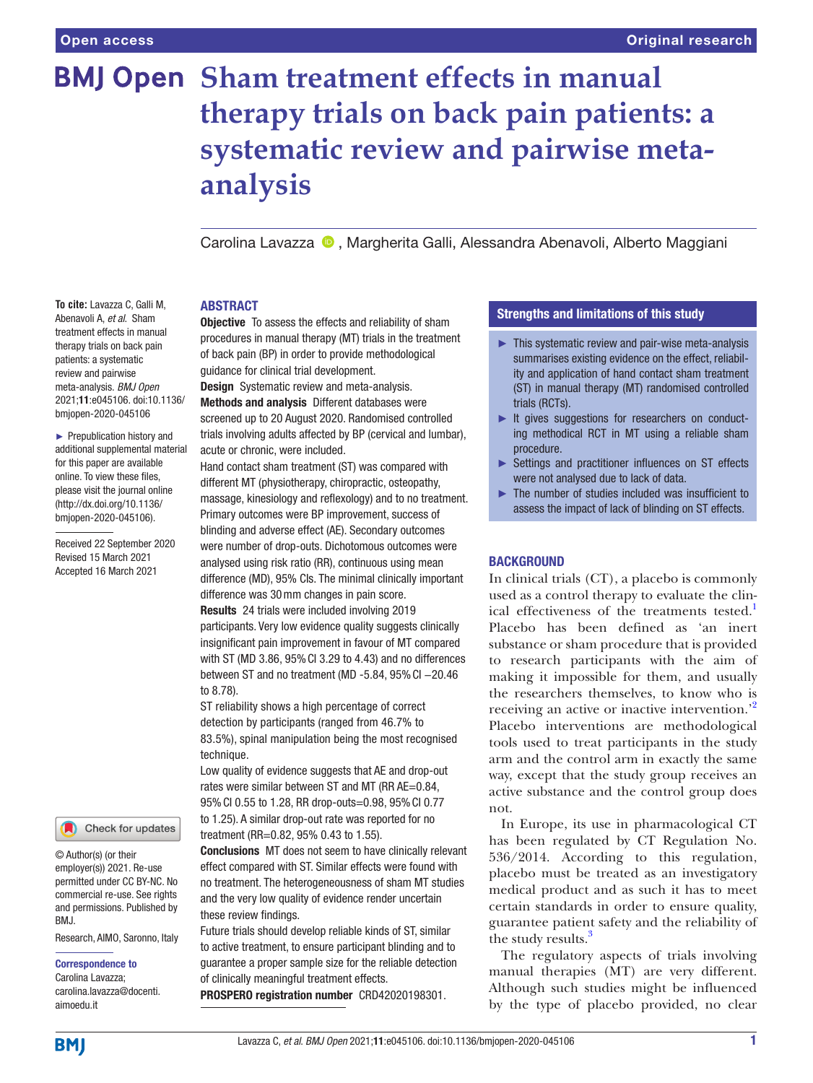# **BMJ Open Sham treatment effects in manual therapy trials on back pain patients: a systematic review and pairwise metaanalysis**

CarolinaLavazza <sup>®</sup>, Margherita Galli, Alessandra Abenavoli, Alberto Maggiani

# ABSTRACT

**To cite:** Lavazza C, Galli M, Abenavoli A, *et al*. Sham treatment effects in manual therapy trials on back pain patients: a systematic review and pairwise meta-analysis. *BMJ Open* 2021;11:e045106. doi:10.1136/ bmjopen-2020-045106

► Prepublication history and additional supplemental material for this paper are available online. To view these files, please visit the journal online [\(http://dx.doi.org/10.1136/](http://dx.doi.org/10.1136/bmjopen-2020-045106) [bmjopen-2020-045106](http://dx.doi.org/10.1136/bmjopen-2020-045106)).

Received 22 September 2020 Revised 15 March 2021 Accepted 16 March 2021



© Author(s) (or their employer(s)) 2021. Re-use permitted under CC BY-NC. No commercial re-use. See rights and permissions. Published by BMJ.

Research, AIMO, Saronno, Italy

#### Correspondence to

Carolina Lavazza; carolina.lavazza@docenti. aimoedu.it

**Objective** To assess the effects and reliability of sham procedures in manual therapy (MT) trials in the treatment of back pain (BP) in order to provide methodological guidance for clinical trial development.

**Design** Systematic review and meta-analysis. Methods and analysis Different databases were screened up to 20 August 2020. Randomised controlled trials involving adults affected by BP (cervical and lumbar), acute or chronic, were included.

Hand contact sham treatment (ST) was compared with different MT (physiotherapy, chiropractic, osteopathy, massage, kinesiology and reflexology) and to no treatment. Primary outcomes were BP improvement, success of blinding and adverse effect (AE). Secondary outcomes were number of drop-outs. Dichotomous outcomes were analysed using risk ratio (RR), continuous using mean difference (MD), 95% CIs. The minimal clinically important difference was 30mm changes in pain score.

Results 24 trials were included involving 2019 participants. Very low evidence quality suggests clinically insignificant pain improvement in favour of MT compared with ST (MD 3.86, 95%CI 3.29 to 4.43) and no differences between ST and no treatment (MD -5.84, 95%CI −20.46 to 8.78).

ST reliability shows a high percentage of correct detection by participants (ranged from 46.7% to 83.5%), spinal manipulation being the most recognised technique.

Low quality of evidence suggests that AE and drop-out rates were similar between ST and MT (RR AE=0.84, 95%CI 0.55 to 1.28, RR drop-outs=0.98, 95%CI 0.77 to 1.25). A similar drop-out rate was reported for no treatment (RR=0.82, 95% 0.43 to 1.55).

Conclusions MT does not seem to have clinically relevant effect compared with ST. Similar effects were found with no treatment. The heterogeneousness of sham MT studies and the very low quality of evidence render uncertain these review findings.

Future trials should develop reliable kinds of ST, similar to active treatment, to ensure participant blinding and to guarantee a proper sample size for the reliable detection of clinically meaningful treatment effects.

PROSPERO registration number CRD42020198301.

# Strengths and limitations of this study

- $\blacktriangleright$  This systematic review and pair-wise meta-analysis summarises existing evidence on the effect, reliability and application of hand contact sham treatment (ST) in manual therapy (MT) randomised controlled trials (RCTs).
- ► It gives suggestions for researchers on conducting methodical RCT in MT using a reliable sham procedure.
- ► Settings and practitioner influences on ST effects were not analysed due to lack of data.
- The number of studies included was insufficient to assess the impact of lack of blinding on ST effects.

# **BACKGROUND**

In clinical trials (CT), a placebo is commonly used as a control therapy to evaluate the clinical effectiveness of the treatments tested.<sup>1</sup> Placebo has been defined as 'an inert substance or sham procedure that is provided to research participants with the aim of making it impossible for them, and usually the researchers themselves, to know who is receiving an active or inactive intervention.['2](#page-12-1) Placebo interventions are methodological tools used to treat participants in the study arm and the control arm in exactly the same way, except that the study group receives an active substance and the control group does not.

In Europe, its use in pharmacological CT has been regulated by CT Regulation No. 536/2014. According to this regulation, placebo must be treated as an investigatory medical product and as such it has to meet certain standards in order to ensure quality, guarantee patient safety and the reliability of the study results.<sup>[3](#page-12-2)</sup>

The regulatory aspects of trials involving manual therapies (MT) are very different. Although such studies might be influenced by the type of placebo provided, no clear

**BMI**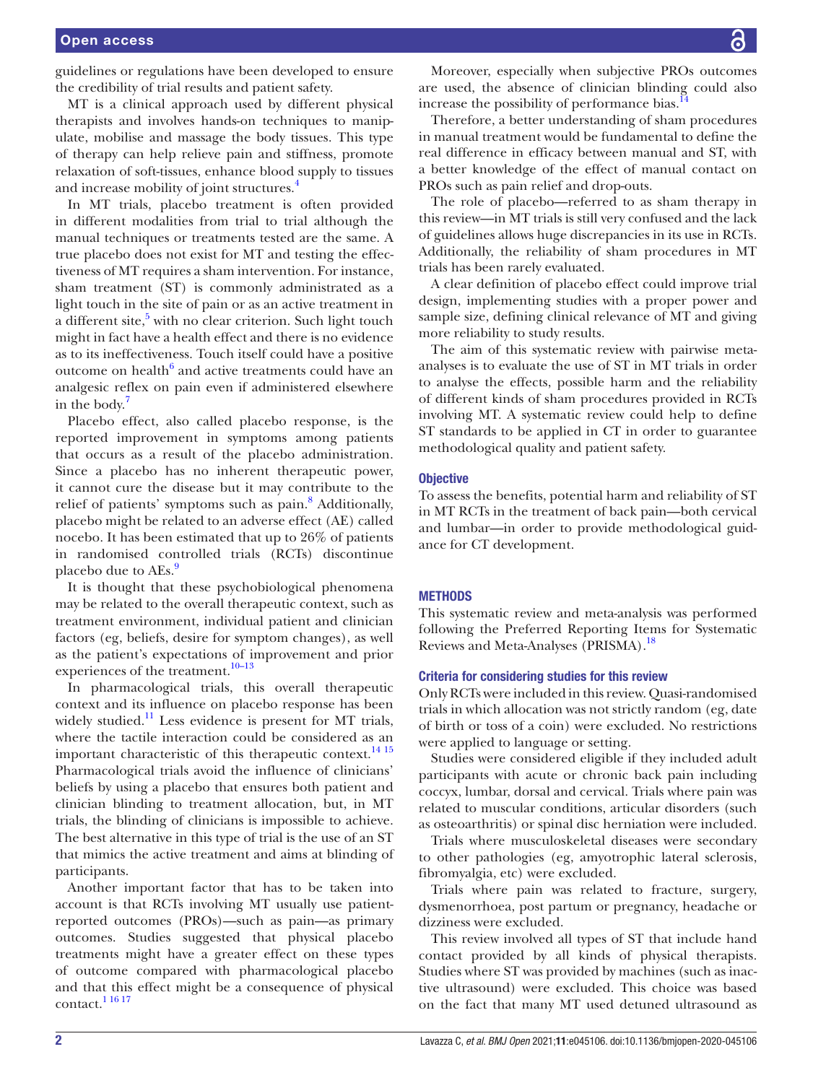guidelines or regulations have been developed to ensure the credibility of trial results and patient safety.

MT is a clinical approach used by different physical therapists and involves hands-on techniques to manipulate, mobilise and massage the body tissues. This type of therapy can help relieve pain and stiffness, promote relaxation of soft-tissues, enhance blood supply to tissues and increase mobility of joint structures.[4](#page-12-3)

In MT trials, placebo treatment is often provided in different modalities from trial to trial although the manual techniques or treatments tested are the same. A true placebo does not exist for MT and testing the effectiveness of MT requires a sham intervention. For instance, sham treatment (ST) is commonly administrated as a light touch in the site of pain or as an active treatment in a different site,<sup>5</sup> with no clear criterion. Such light touch might in fact have a health effect and there is no evidence as to its ineffectiveness. Touch itself could have a positive outcome on health<sup>[6](#page-12-5)</sup> and active treatments could have an analgesic reflex on pain even if administered elsewhere in the body.<sup>[7](#page-12-6)</sup>

Placebo effect, also called placebo response, is the reported improvement in symptoms among patients that occurs as a result of the placebo administration. Since a placebo has no inherent therapeutic power, it cannot cure the disease but it may contribute to the relief of patients' symptoms such as pain.<sup>[8](#page-12-7)</sup> Additionally, placebo might be related to an adverse effect (AE) called nocebo. It has been estimated that up to 26% of patients in randomised controlled trials (RCTs) discontinue placebo due to AEs.<sup>[9](#page-12-8)</sup>

It is thought that these psychobiological phenomena may be related to the overall therapeutic context, such as treatment environment, individual patient and clinician factors (eg, beliefs, desire for symptom changes), as well as the patient's expectations of improvement and prior experiences of the treatment.<sup>10-13</sup>

In pharmacological trials, this overall therapeutic context and its influence on placebo response has been widely studied. $^{11}$  Less evidence is present for MT trials, where the tactile interaction could be considered as an important characteristic of this therapeutic context.<sup>[14 15](#page-12-11)</sup> Pharmacological trials avoid the influence of clinicians' beliefs by using a placebo that ensures both patient and clinician blinding to treatment allocation, but, in MT trials, the blinding of clinicians is impossible to achieve. The best alternative in this type of trial is the use of an ST that mimics the active treatment and aims at blinding of participants.

Another important factor that has to be taken into account is that RCTs involving MT usually use patientreported outcomes (PROs)—such as pain—as primary outcomes. Studies suggested that physical placebo treatments might have a greater effect on these types of outcome compared with pharmacological placebo and that this effect might be a consequence of physical contact.<sup>[1 16 17](#page-12-0)</sup>

Moreover, especially when subjective PROs outcomes are used, the absence of clinician blinding could also increase the possibility of performance bias.<sup>1</sup>

Therefore, a better understanding of sham procedures in manual treatment would be fundamental to define the real difference in efficacy between manual and ST, with a better knowledge of the effect of manual contact on PROs such as pain relief and drop-outs.

The role of placebo—referred to as sham therapy in this review—in MT trials is still very confused and the lack of guidelines allows huge discrepancies in its use in RCTs. Additionally, the reliability of sham procedures in MT trials has been rarely evaluated.

A clear definition of placebo effect could improve trial design, implementing studies with a proper power and sample size, defining clinical relevance of MT and giving more reliability to study results.

The aim of this systematic review with pairwise metaanalyses is to evaluate the use of ST in MT trials in order to analyse the effects, possible harm and the reliability of different kinds of sham procedures provided in RCTs involving MT. A systematic review could help to define ST standards to be applied in CT in order to guarantee methodological quality and patient safety.

#### **Objective**

To assess the benefits, potential harm and reliability of ST in MT RCTs in the treatment of back pain—both cervical and lumbar—in order to provide methodological guidance for CT development.

# **METHODS**

This systematic review and meta-analysis was performed following the Preferred Reporting Items for Systematic Reviews and Meta-Analyses (PRISMA).[18](#page-12-12)

#### Criteria for considering studies for this review

Only RCTs were included in this review. Quasi-randomised trials in which allocation was not strictly random (eg, date of birth or toss of a coin) were excluded. No restrictions were applied to language or setting.

Studies were considered eligible if they included adult participants with acute or chronic back pain including coccyx, lumbar, dorsal and cervical. Trials where pain was related to muscular conditions, articular disorders (such as osteoarthritis) or spinal disc herniation were included.

Trials where musculoskeletal diseases were secondary to other pathologies (eg, amyotrophic lateral sclerosis, fibromyalgia, etc) were excluded.

Trials where pain was related to fracture, surgery, dysmenorrhoea, post partum or pregnancy, headache or dizziness were excluded.

This review involved all types of ST that include hand contact provided by all kinds of physical therapists. Studies where ST was provided by machines (such as inactive ultrasound) were excluded. This choice was based on the fact that many MT used detuned ultrasound as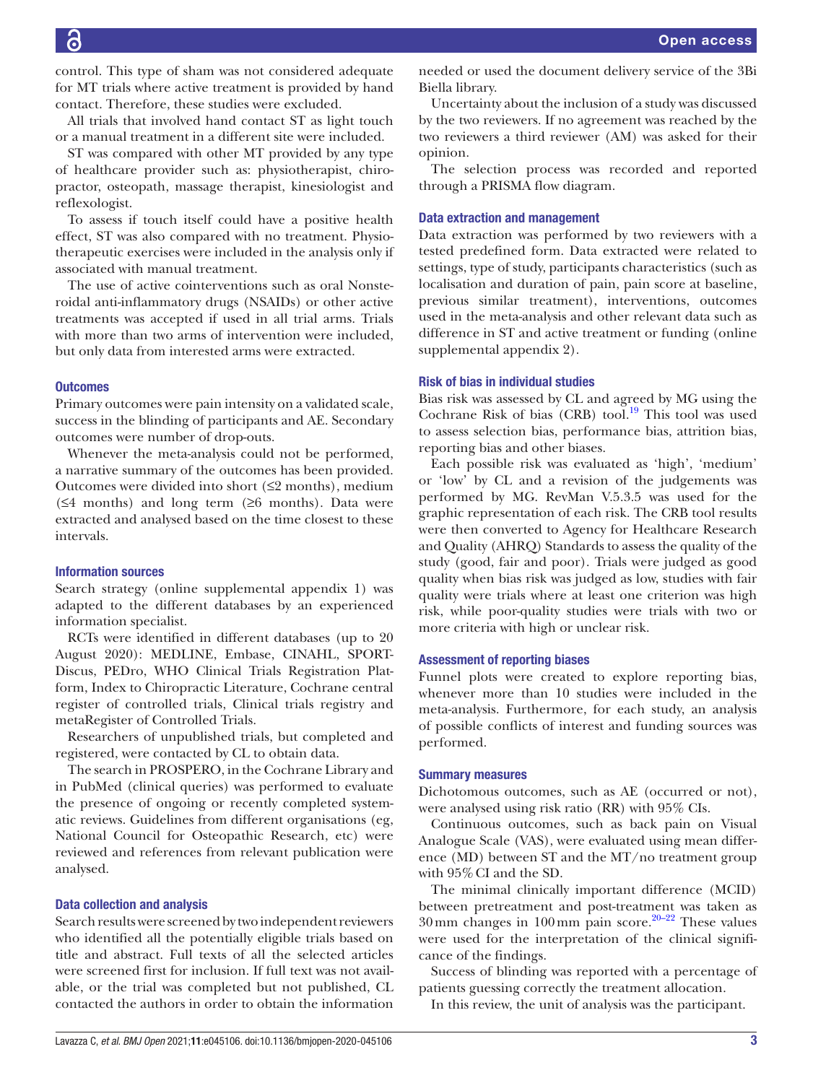control. This type of sham was not considered adequate for MT trials where active treatment is provided by hand contact. Therefore, these studies were excluded.

All trials that involved hand contact ST as light touch or a manual treatment in a different site were included.

ST was compared with other MT provided by any type of healthcare provider such as: physiotherapist, chiropractor, osteopath, massage therapist, kinesiologist and reflexologist.

To assess if touch itself could have a positive health effect, ST was also compared with no treatment. Physiotherapeutic exercises were included in the analysis only if associated with manual treatment.

The use of active cointerventions such as oral Nonsteroidal anti-inflammatory drugs (NSAIDs) or other active treatments was accepted if used in all trial arms. Trials with more than two arms of intervention were included, but only data from interested arms were extracted.

# **Outcomes**

Primary outcomes were pain intensity on a validated scale, success in the blinding of participants and AE. Secondary outcomes were number of drop-outs.

Whenever the meta-analysis could not be performed, a narrative summary of the outcomes has been provided. Outcomes were divided into short (≤2 months), medium ( $\leq 4$  months) and long term ( $\geq 6$  months). Data were extracted and analysed based on the time closest to these intervals.

# Information sources

Search strategy ([online supplemental appendix 1\)](https://dx.doi.org/10.1136/bmjopen-2020-045106) was adapted to the different databases by an experienced information specialist.

RCTs were identified in different databases (up to 20 August 2020): MEDLINE, Embase, CINAHL, SPORT-Discus, PEDro, WHO Clinical Trials Registration Platform, Index to Chiropractic Literature, Cochrane central register of controlled trials, Clinical trials registry and metaRegister of Controlled Trials.

Researchers of unpublished trials, but completed and registered, were contacted by CL to obtain data.

The search in PROSPERO, in the Cochrane Library and in PubMed (clinical queries) was performed to evaluate the presence of ongoing or recently completed systematic reviews. Guidelines from different organisations (eg, National Council for Osteopathic Research, etc) were reviewed and references from relevant publication were analysed.

# Data collection and analysis

Search results were screened by two independent reviewers who identified all the potentially eligible trials based on title and abstract. Full texts of all the selected articles were screened first for inclusion. If full text was not available, or the trial was completed but not published, CL contacted the authors in order to obtain the information needed or used the document delivery service of the 3Bi Biella library.

Uncertainty about the inclusion of a study was discussed by the two reviewers. If no agreement was reached by the two reviewers a third reviewer (AM) was asked for their opinion.

The selection process was recorded and reported through a PRISMA flow diagram.

# Data extraction and management

Data extraction was performed by two reviewers with a tested predefined form. Data extracted were related to settings, type of study, participants characteristics (such as localisation and duration of pain, pain score at baseline, previous similar treatment), interventions, outcomes used in the meta-analysis and other relevant data such as difference in ST and active treatment or funding ([online](https://dx.doi.org/10.1136/bmjopen-2020-045106)  [supplemental appendix 2\)](https://dx.doi.org/10.1136/bmjopen-2020-045106).

# Risk of bias in individual studies

Bias risk was assessed by CL and agreed by MG using the Cochrane Risk of bias (CRB) tool.<sup>19</sup> This tool was used to assess selection bias, performance bias, attrition bias, reporting bias and other biases.

Each possible risk was evaluated as 'high', 'medium' or 'low' by CL and a revision of the judgements was performed by MG. RevMan V.5.3.5 was used for the graphic representation of each risk. The CRB tool results were then converted to Agency for Healthcare Research and Quality (AHRQ) Standards to assess the quality of the study (good, fair and poor). Trials were judged as good quality when bias risk was judged as low, studies with fair quality were trials where at least one criterion was high risk, while poor-quality studies were trials with two or more criteria with high or unclear risk.

# Assessment of reporting biases

Funnel plots were created to explore reporting bias, whenever more than 10 studies were included in the meta-analysis. Furthermore, for each study, an analysis of possible conflicts of interest and funding sources was performed.

# Summary measures

Dichotomous outcomes, such as AE (occurred or not), were analysed using risk ratio (RR) with 95% CIs.

Continuous outcomes, such as back pain on Visual Analogue Scale (VAS), were evaluated using mean difference (MD) between ST and the MT/no treatment group with 95%CI and the SD.

The minimal clinically important difference (MCID) between pretreatment and post-treatment was taken as  $30 \text{ mm}$  changes in  $100 \text{ mm}$  pain score.<sup>20–22</sup> These values were used for the interpretation of the clinical significance of the findings.

Success of blinding was reported with a percentage of patients guessing correctly the treatment allocation.

In this review, the unit of analysis was the participant.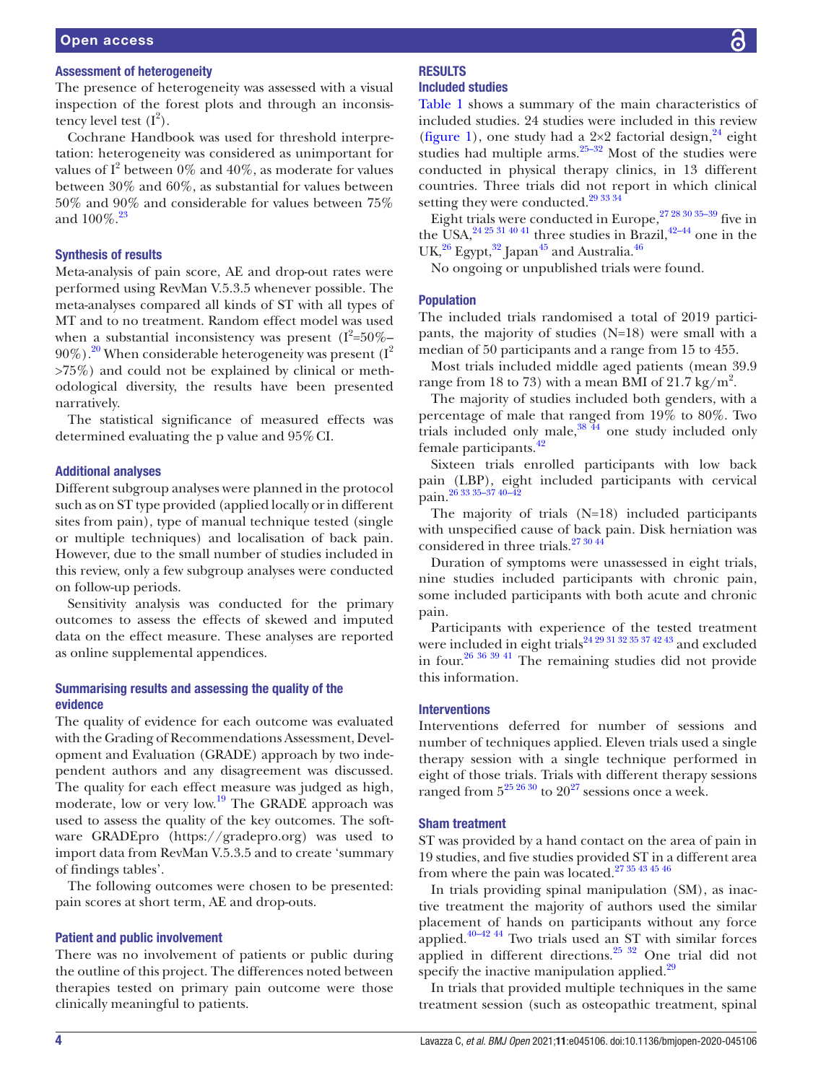#### Assessment of heterogeneity

The presence of heterogeneity was assessed with a visual inspection of the forest plots and through an inconsistency level test  $(I^2)$ .

Cochrane Handbook was used for threshold interpretation: heterogeneity was considered as unimportant for values of  $I^2$  between  $0\%$  and  $40\%$ , as moderate for values between 30% and 60%, as substantial for values between 50% and 90% and considerable for values between 75% and  $100\%$ .<sup>[23](#page-13-0)</sup>

#### Synthesis of results

Meta-analysis of pain score, AE and drop-out rates were performed using RevMan V.5.3.5 whenever possible. The meta-analyses compared all kinds of ST with all types of MT and to no treatment. Random effect model was used when a substantial inconsistency was present  $(I^2=50\% 90\%$ ).<sup>20</sup> When considerable heterogeneity was present (I<sup>2</sup>) >75%) and could not be explained by clinical or methodological diversity, the results have been presented narratively.

The statistical significance of measured effects was determined evaluating the p value and 95%CI.

#### Additional analyses

Different subgroup analyses were planned in the protocol such as on ST type provided (applied locally or in different sites from pain), type of manual technique tested (single or multiple techniques) and localisation of back pain. However, due to the small number of studies included in this review, only a few subgroup analyses were conducted on follow-up periods.

Sensitivity analysis was conducted for the primary outcomes to assess the effects of skewed and imputed data on the effect measure. These analyses are reported as [online supplemental appendices](https://dx.doi.org/10.1136/bmjopen-2020-045106).

# Summarising results and assessing the quality of the evidence

The quality of evidence for each outcome was evaluated with the Grading of Recommendations Assessment, Development and Evaluation (GRADE) approach by two independent authors and any disagreement was discussed. The quality for each effect measure was judged as high, moderate, low or very low.<sup>19</sup> The GRADE approach was used to assess the quality of the key outcomes. The software GRADEpro [\(https://gradepro.org](https://gradepro.org)) was used to import data from RevMan V.5.3.5 and to create 'summary of findings tables'.

The following outcomes were chosen to be presented: pain scores at short term, AE and drop-outs.

#### Patient and public involvement

There was no involvement of patients or public during the outline of this project. The differences noted between therapies tested on primary pain outcome were those clinically meaningful to patients.

# **RESULTS**

Included studies

[Table](#page-4-0) 1 shows a summary of the main characteristics of included studies. 24 studies were included in this review [\(figure](#page-7-0) 1), one study had a  $2\times 2$  factorial design,  $24$  eight studies had multiple arms.<sup>25–32</sup> Most of the studies were conducted in physical therapy clinics, in 13 different countries. Three trials did not report in which clinical setting they were conducted.<sup>29</sup> 33 34

Eight trials were conducted in Europe,  $27 28 30 35-39$  five in the USA,  $^{24\,25\,31\,40\,41}$  three studies in Brazil,  $^{42-44}$  one in the  $UK<sup>26</sup> Egypt<sup>32</sup> [apan<sup>45</sup> and Australia<sup>46</sup>$  $UK<sup>26</sup> Egypt<sup>32</sup> [apan<sup>45</sup> and Australia<sup>46</sup>$  $UK<sup>26</sup> Egypt<sup>32</sup> [apan<sup>45</sup> and Australia<sup>46</sup>$  $UK<sup>26</sup> Egypt<sup>32</sup> [apan<sup>45</sup> and Australia<sup>46</sup>$  $UK<sup>26</sup> Egypt<sup>32</sup> [apan<sup>45</sup> and Australia<sup>46</sup>$ 

No ongoing or unpublished trials were found.

# Population

The included trials randomised a total of 2019 participants, the majority of studies (N=18) were small with a median of 50 participants and a range from 15 to 455.

Most trials included middle aged patients (mean 39.9 range from 18 to 73) with a mean BMI of  $21.7 \text{ kg/m}^2$ .

The majority of studies included both genders, with a percentage of male that ranged from 19% to 80%. Two trials included only male,  $38\frac{44}{10}$  one study included only female participants.<sup>[42](#page-13-5)</sup>

Sixteen trials enrolled participants with low back pain (LBP), eight included participants with cervical pain.[26 33 35–37 40–42](#page-13-6)

The majority of trials (N=18) included participants with unspecified cause of back pain. Disk herniation was considered in three trials.<sup>27</sup> 30 44

Duration of symptoms were unassessed in eight trials, nine studies included participants with chronic pain, some included participants with both acute and chronic pain.

Participants with experience of the tested treatment were included in eight trials $^{24\,29\,31\,32\,35\,37\,42\,43}$  and excluded in four[.26 36 39 41](#page-13-6) The remaining studies did not provide this information.

# **Interventions**

Interventions deferred for number of sessions and number of techniques applied. Eleven trials used a single therapy session with a single technique performed in eight of those trials. Trials with different therapy sessions ranged from  $5^{25\,26\,30}$  to  $20^{27}$  sessions once a week.

#### Sham treatment

ST was provided by a hand contact on the area of pain in 19 studies, and five studies provided ST in a different area from where the pain was located.[27 35 43 45 46](#page-13-4)

In trials providing spinal manipulation (SM), as inactive treatment the majority of authors used the similar placement of hands on participants without any force applied. $40-42$   $44$  Two trials used an ST with similar forces applied in different directions.<sup>25 32</sup> One trial did not specify the inactive manipulation applied. $29$ 

In trials that provided multiple techniques in the same treatment session (such as osteopathic treatment, spinal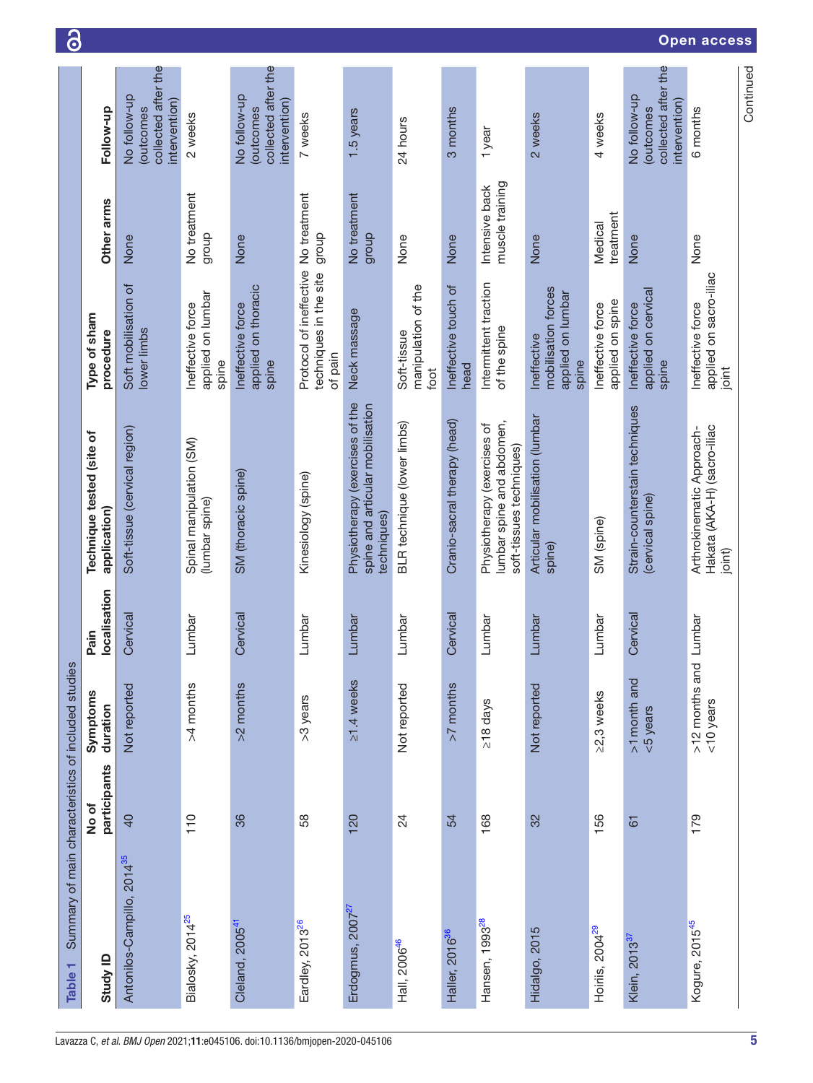| Summary of main characteristics of included studies<br>Table 1 |                       |                             |                      |                                                                                      |                                                                           |                                   |                                                                   |
|----------------------------------------------------------------|-----------------------|-----------------------------|----------------------|--------------------------------------------------------------------------------------|---------------------------------------------------------------------------|-----------------------------------|-------------------------------------------------------------------|
| Study ID                                                       | participants<br>No of | Symptoms<br>duration        | localisation<br>Pain | Technique tested (site of<br>application)                                            | Type of sham<br>procedure                                                 | Other arms                        | Follow-up                                                         |
| Antonilos-Campillo, 2014 <sup>35</sup>                         | $\overline{a}$        | Not reported                | Cervical             | Soft-tissue (cervical region)                                                        | Soft mobilisation of<br>lower limbs                                       | None                              | collected after the<br>No follow-up<br>intervention)<br>(outcomes |
| Bialosky, 2014 <sup>25</sup>                                   | 110                   | >4 months                   | Lumbar               | Spinal manipulation (SM)<br>(lumbar spine)                                           | applied on lumbar<br>Ineffective force<br>spine                           | No treatment<br>dioub             | 2 weeks                                                           |
| Cleland, 2005 <sup>41</sup>                                    | 36                    | >2 months                   | Cervical             | SM (thoracic spine)                                                                  | applied on thoracic<br>Ineffective force<br>spine                         | None                              | collected after the<br>No follow-up<br>intervention)<br>(outcomes |
| Eardley, 2013 <sup>26</sup>                                    | 58                    | >3 years                    | Lumbar               | Kinesiology (spine)                                                                  | Protocol of ineffective No treatment<br>techniques in the site<br>of pain | qroup                             | 7 weeks                                                           |
| Erdogmus, 2007 <sup>27</sup>                                   | 120                   | $\geq$ 1.4 weeks            | Lumbar               | Physiotherapy (exercises of the<br>spine and articular mobilisation<br>techniques)   | Neck massage                                                              | No treatment<br>group             | 1.5 years                                                         |
| Hall, 2006 <sup>46</sup>                                       | 24                    | Not reported                | Lumbar               | BLR technique (lower limbs)                                                          | manipulation of the<br>Soft-tissue<br>foot                                | None                              | 24 hours                                                          |
| Haller, 2016 <sup>36</sup>                                     | 54                    | $>7$ months                 | Cervical             | Cranio-sacral therapy (head)                                                         | Ineffective touch of<br>head                                              | None                              | 3 months                                                          |
| Hansen, 1993 <sup>28</sup>                                     | 168                   | $\geq$ 18 days              | Lumbar               | lumbar spine and abdomen,<br>Physiotherapy (exercises of<br>soft-tissues techniques) | Intermittent traction<br>of the spine                                     | muscle training<br>Intensive back | 1year                                                             |
| Hidalgo, 2015                                                  | 32                    | Not reported                | Lumbar               | Articular mobilisation (lumbar<br>spine)                                             | mobilisation forces<br>applied on lumbar<br>Ineffective<br>spine          | None                              | 2 weeks                                                           |
| Hoiriis, 2004 <sup>29</sup>                                    | 156                   | 22,3 weeks                  | Lumbar               | SM (spine)                                                                           | applied on spine<br>Ineffective force                                     | treatment<br>Medical              | 4 weeks                                                           |
| Klein, 2013 <sup>3</sup>                                       | <u>ন্ত</u>            | >1 month and<br>$<$ 5 years | Cervical             | Strain-counterstain techniques<br>(cervical spine)                                   | applied on cervical<br>Ineffective force<br>spine                         | None                              | collected after the<br>No follow-up<br>intervention)<br>(outcomes |
| Kogure, 2015 <sup>45</sup>                                     | 179                   | >12 months and<br><10 years | Lumbar               | Hakata (AKA-H) (sacro-iliac<br>Arthrokinematic Approach-<br>joint)                   | applied on sacro-iliac<br>Ineffective force<br>joint                      | None                              | 6 months                                                          |
|                                                                |                       |                             |                      |                                                                                      |                                                                           |                                   | Continued                                                         |

<span id="page-4-0"></span>5

# Open access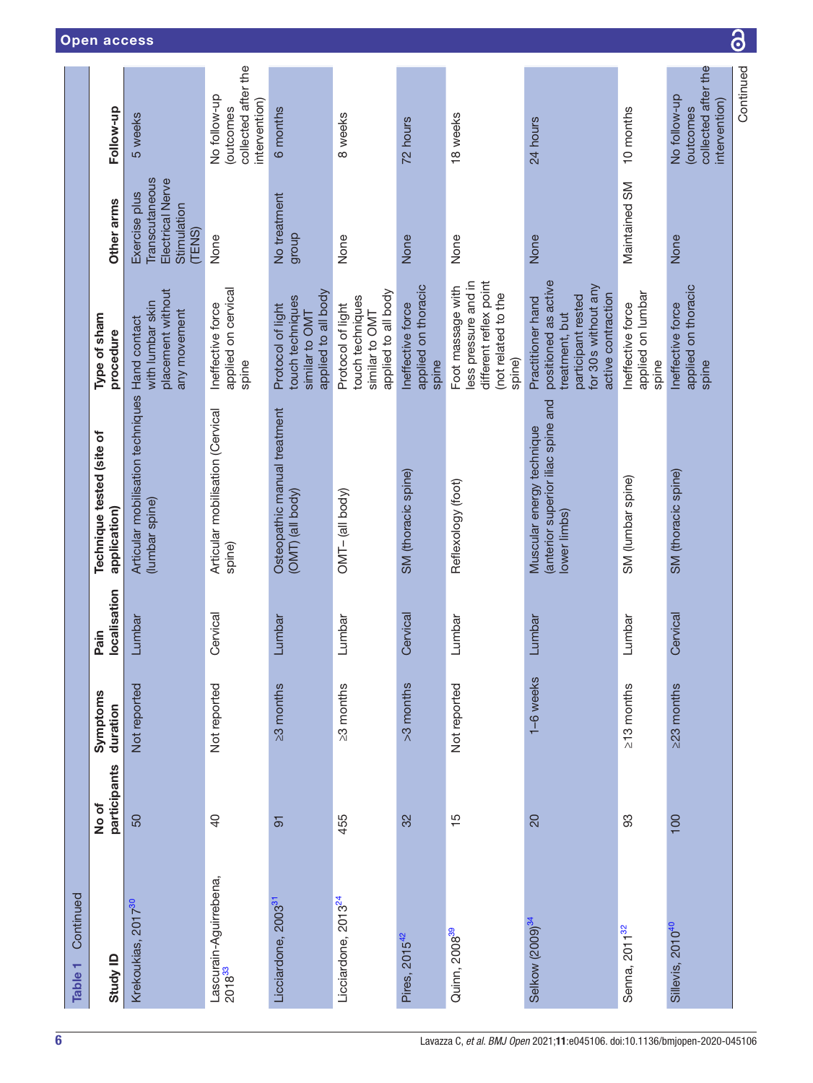| Continued<br>Table 1                         |                       |                      |                      |                                                                                 |                                                                                                                                 |                                                                              |                                                                   |
|----------------------------------------------|-----------------------|----------------------|----------------------|---------------------------------------------------------------------------------|---------------------------------------------------------------------------------------------------------------------------------|------------------------------------------------------------------------------|-------------------------------------------------------------------|
| Study ID                                     | participants<br>No of | Symptoms<br>duration | localisation<br>Pain | Technique tested (site of<br>application)                                       | Type of sham<br>procedure                                                                                                       | Other arms                                                                   | Follow-up                                                         |
| Krekoukias, 2017 <sup>30</sup>               | 50                    | Not reported         | Lumbar               | Articular mobilisation techniques<br>(lumbar spine)                             | placement without<br>with lumbar skin<br>any movement<br>Hand contact                                                           | Transcutaneous<br>Electrical Nerve<br>Exercise plus<br>Stimulation<br>(TENS) | 5 weeks                                                           |
| Lascurain-Aguirrebena,<br>2018 <sup>33</sup> | $\overline{4}$        | Not reported         | Cervical             | Articular mobilisation (Cervical<br>spine)                                      | applied on cervical<br>Ineffective force<br>spine                                                                               | None                                                                         | collected after the<br>No follow-up<br>intervention)<br>(outcomes |
| Licciardone, 2003 <sup>31</sup>              | $\overline{5}$        | $23$ months          | Lumbar               | Osteopathic manual treatment<br>(OMT) (all body)                                | applied to all body<br>touch techniques<br>Protocol of light<br>similar to OMT                                                  | No treatment<br>group                                                        | 6 months                                                          |
| Licciardone, 2013 <sup>24</sup>              | 455                   | $23$ months          | Lumbar               | $OMT - (all body)$                                                              | applied to all body<br>touch techniques<br>Protocol of light<br>similar to OMT                                                  | None                                                                         | 8 weeks                                                           |
| Pires, 2015 <sup>42</sup>                    | 32                    | >3 months            | Cervical             | SM (thoracic spine)                                                             | applied on thoracic<br>Ineffective force<br>spine                                                                               | None                                                                         | 72 hours                                                          |
| Quinn, 2008 <sup>39</sup>                    | $\frac{5}{1}$         | Not reported         | Lumbar               | Reflexology (foot)                                                              | different reflex point<br>less pressure and in<br>Foot massage with<br>(not related to the<br>spine)                            | None                                                                         | 18 weeks                                                          |
| Selkow (2009) <sup>34</sup>                  | 20                    | 1-6 weeks            | Lumbar               | (anterior superior iliac spine and<br>Muscular energy technique<br>lower limbs) | positioned as active<br>for 30 s without any<br>active contraction<br>participant rested<br>Practitioner hand<br>treatment, but | None                                                                         | 24 hours                                                          |
| Senna, 2011 <sup>32</sup>                    | 93                    | $\geq$ 13 months     | Lumbar               | SM (lumbar spine)                                                               | applied on lumbar<br>Ineffective force<br>spine                                                                                 | Maintained SM                                                                | 10 months                                                         |
| Sillevis, 2010 <sup>40</sup>                 | 100                   | $223$ months         | Cervical             | SM (thoracic spine)                                                             | applied on thoracic<br>Ineffective force<br>spine                                                                               | None                                                                         | collected after the<br>No follow-up<br>intervention)<br>(outcomes |
|                                              |                       |                      |                      |                                                                                 |                                                                                                                                 |                                                                              | Continued                                                         |

 $\delta$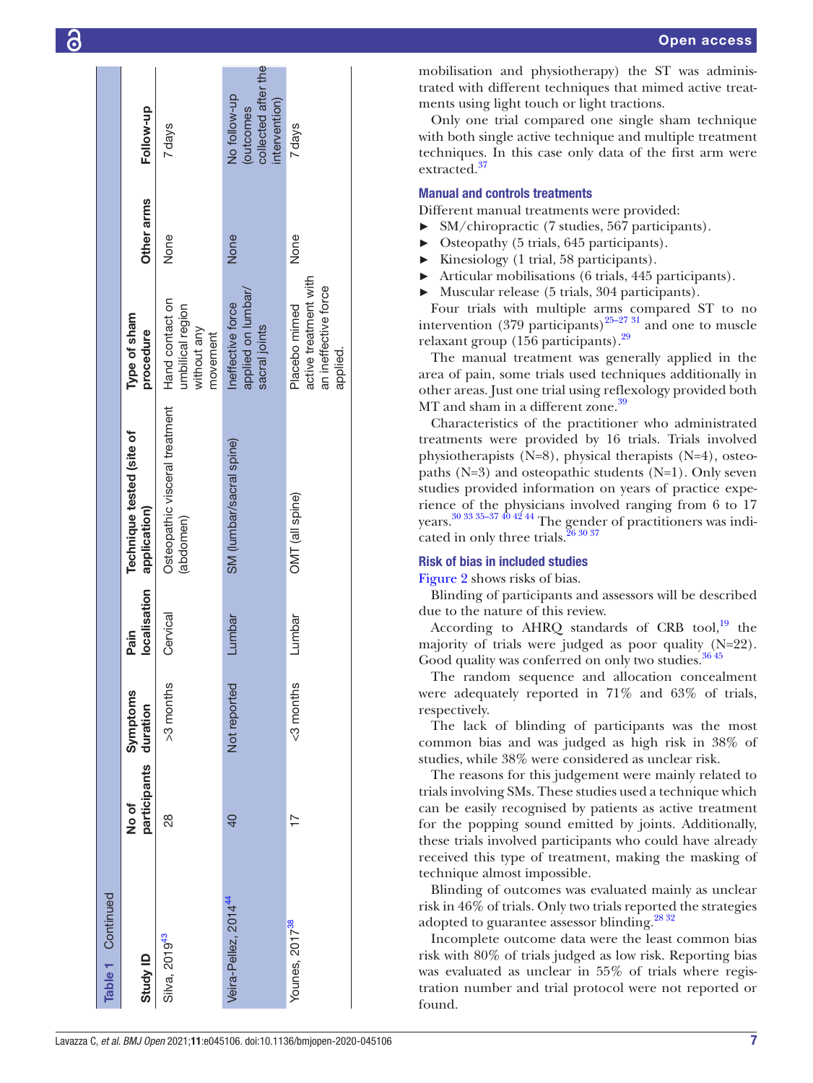| Table 1 Continued                |                                |              |                      |                                             |                                                                            |            |                                                                   |
|----------------------------------|--------------------------------|--------------|----------------------|---------------------------------------------|----------------------------------------------------------------------------|------------|-------------------------------------------------------------------|
| Study ID                         | participants duration<br>No of | Symptoms     | localisation<br>Pain | Technique tested (site of<br>application)   | Type of sham<br>procedure                                                  | Other arms | Follow-up                                                         |
| Silva, 2019 <sup>43</sup>        | 88                             | $>3$ months  | Cervical             | Osteopathic visceral treatment<br>(abdomen) | Hand contact on<br>umbilical region<br>without any<br>movement             | None       | 7 days                                                            |
| Veira-Pellez, 2014 <sup>44</sup> | $\overline{a}$                 | Not reported | Lumbar               | SM (lumbar/sacral spine)                    | applied on lumbar/<br>Ineffective force<br>sacral joints                   | None       | collected after the<br>No follow-up<br>intervention)<br>(outcomes |
| Younes, 2017 <sup>38</sup>       |                                | <3 months    | Lumbar               | OMT (all spine)                             | active treatment with<br>an ineffective force<br>Placebo mimed<br>applied. | None       | 7 days                                                            |
|                                  |                                |              |                      |                                             |                                                                            |            |                                                                   |

mobilisation and physiotherapy) the ST was adminis trated with different techniques that mimed active treatments using light touch or light tractions.

Only one trial compared one single sham technique with both single active technique and multiple treatment techniques. In this case only data of the first arm were extracted.<sup>37</sup>

# Manual and controls treatments

Different manual treatments were provided:

- ► SM/chiropractic (7 studies, 567 participants).
- ► Osteopathy (5 trials, 645 participants).
- Kinesiology (1 trial, 58 participants).
- ► Articular mobilisations (6 trials, 445 participants).
- Muscular release (5 trials, 304 participants).

Four trials with multiple arms compared ST to no intervention (379 participants)<sup>25–27 31</sup> and one to muscle relaxant group (156 participants).<sup>[29](#page-13-3)</sup>

The manual treatment was generally applied in the area of pain, some trials used techniques additionally in other areas. Just one trial using reflexology provided both MT and sham in a different zone.<sup>[39](#page-13-20)</sup>

Characteristics of the practitioner who administrated treatments were provided by 16 trials. Trials involved physiotherapists (N=8), physical therapists (N=4), osteo paths (N=3) and osteopathic students (N=1). Only seven studies provided information on years of practice expe rience of the physicians involved ranging from 6 to 17 years. $\frac{30\,33\,35-37\,40\,42\,44}{3}$  The gender of practitioners was indicated in only three trials. $26\frac{30\frac{3}{7}}{6}$ 

#### Risk of bias in included studies

[Figure](#page-7-1) 2 shows risks of bias.

Blinding of participants and assessors will be described due to the nature of this review.

According to AHRQ standards of CRB tool,<sup>[19](#page-12-13)</sup> the majority of trials were judged as poor quality (N=22). Good quality was conferred on only two studies.<sup>3645</sup>

The random sequence and allocation concealment were adequately reported in 71% and 63% of trials, respectively.

The lack of blinding of participants was the most common bias and was judged as high risk in 38% of studies, while 38% were considered as unclear risk.

The reasons for this judgement were mainly related to trials involving SMs. These studies used a technique which can be easily recognised by patients as active treatment for the popping sound emitted by joints. Additionally, these trials involved participants who could have already received this type of treatment, making the masking of technique almost impossible.

Blinding of outcomes was evaluated mainly as unclear risk in 46% of trials. Only two trials reported the strategies adopted to guarantee assessor blinding.<sup>28 32</sup>

Incomplete outcome data were the least common bias risk with 80% of trials judged as low risk. Reporting bias was evaluated as unclear in 55% of trials where regis tration number and trial protocol were not reported or found.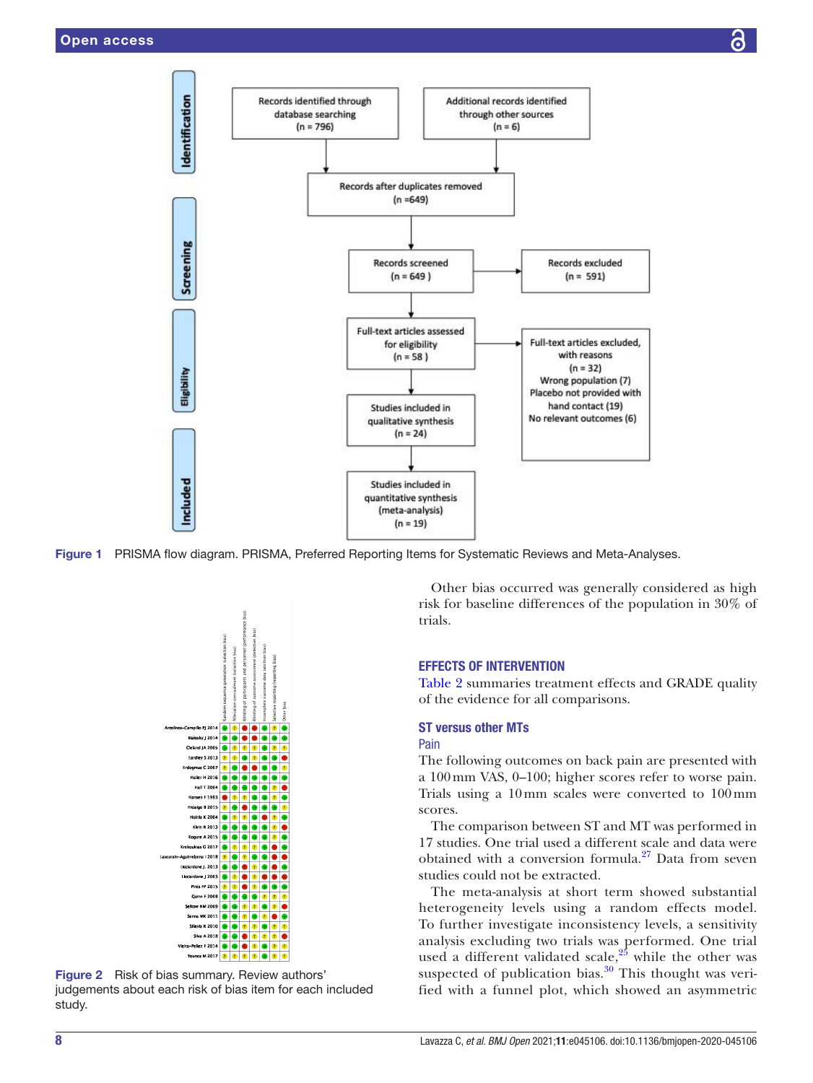

Figure 1 PRISMA flow diagram. PRISMA, Preferred Reporting Items for Systematic Reviews and Meta-Analyses.

<span id="page-7-0"></span>mollio Pi 2014 **Qu** 2 Cletand JA 2005 3 3 3 Eardley \$ 2013  $\bullet$  $r$ dogmus C 2007 2  $\rightarrow$   $\rightarrow$   $\rightarrow$ **Haller H 2016** e e Hall T 2004  $\bullet\bullet$ Hansen F 1993 **Hidalgo B 2015**  $\bullet$ **D** olrils K 2004  $\boxed{\bullet}$ Klein R 2013 Kogure A 2015 Krekouklas G 2017 |<br>| bena | 2018  $200$ rdone j 2003 **O**  $\bullet$ Pires FP 2015 2 2 w NM 2009 **C**  $000$ Enna MK 2011  $\bigcirc$  $\bullet$ Sillevis R 2010 **+ +**  $2000$ SING A 2018 0 0 0 0 0 0 ellez F 2014 | **@ | @ | @ | @ | @** | <mark>@</mark>

Figure 2 Risk of bias summary. Review authors' judgements about each risk of bias item for each included study.

<span id="page-7-1"></span>Younes M 2017 2 2 2 3 3 4 3 3

Other bias occurred was generally considered as high risk for baseline differences of the population in 30% of trials.

# EFFECTS OF INTERVENTION

[Table](#page-8-0) 2 summaries treatment effects and GRADE quality of the evidence for all comparisons.

# ST versus other MTs

# Pain

The following outcomes on back pain are presented with a 100mm VAS, 0–100; higher scores refer to worse pain. Trials using a 10mm scales were converted to 100mm scores.

The comparison between ST and MT was performed in 17 studies. One trial used a different scale and data were obtained with a conversion formula. $27$  Data from seven studies could not be extracted.

The meta-analysis at short term showed substantial heterogeneity levels using a random effects model. To further investigate inconsistency levels, a sensitivity analysis excluding two trials was performed. One trial used a different validated scale, $25$  while the other was suspected of publication bias. $30$  This thought was verified with a funnel plot, which showed an asymmetric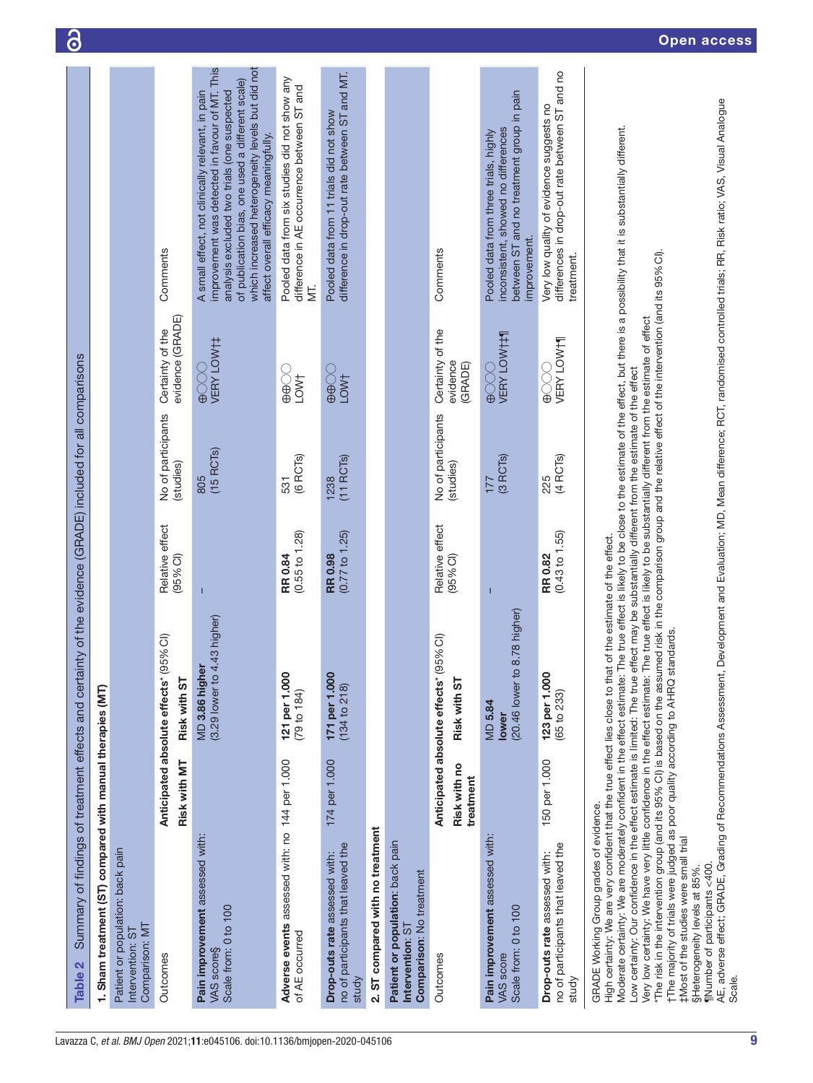<span id="page-8-0"></span>

| Table <sub>2</sub>                                                                                                                                                                                                                                                                                                                                                                                                                                                                                                                                                                                                                                                                                                                                                                                                                                                                                |                           | Summary of findings of treatment effects and certainty of the evidence (GRADE) included for all comparisons |                                        |                                                                                     |                                                    |                                                                                                                                                                                                                                                                                                   |
|---------------------------------------------------------------------------------------------------------------------------------------------------------------------------------------------------------------------------------------------------------------------------------------------------------------------------------------------------------------------------------------------------------------------------------------------------------------------------------------------------------------------------------------------------------------------------------------------------------------------------------------------------------------------------------------------------------------------------------------------------------------------------------------------------------------------------------------------------------------------------------------------------|---------------------------|-------------------------------------------------------------------------------------------------------------|----------------------------------------|-------------------------------------------------------------------------------------|----------------------------------------------------|---------------------------------------------------------------------------------------------------------------------------------------------------------------------------------------------------------------------------------------------------------------------------------------------------|
| 1. Sham treatment (ST) compared with manual therapies (MT)                                                                                                                                                                                                                                                                                                                                                                                                                                                                                                                                                                                                                                                                                                                                                                                                                                        |                           |                                                                                                             |                                        |                                                                                     |                                                    |                                                                                                                                                                                                                                                                                                   |
| Patient or population: back pain<br>Comparison: MT<br>Intervention: ST                                                                                                                                                                                                                                                                                                                                                                                                                                                                                                                                                                                                                                                                                                                                                                                                                            |                           |                                                                                                             |                                        |                                                                                     |                                                    |                                                                                                                                                                                                                                                                                                   |
| Outcomes                                                                                                                                                                                                                                                                                                                                                                                                                                                                                                                                                                                                                                                                                                                                                                                                                                                                                          | Risk with MT              | Anticipated absolute effects* (95% Cl)<br>Risk with ST                                                      | Relative effect<br>(95% <sup>C</sup> ) | No of participants<br>(studies)                                                     | evidence (GRADE)<br>Certainty of the               | Comments                                                                                                                                                                                                                                                                                          |
| Pain improvement assessed with:<br>Scale from: 0 to 100<br>VAS score§                                                                                                                                                                                                                                                                                                                                                                                                                                                                                                                                                                                                                                                                                                                                                                                                                             |                           | $(3.29$ lower to $4.43$ higher)<br>MD 3.86 higher                                                           | T                                      | $(15$ RCTs)<br>805                                                                  | VERY LOW <sub>11</sub><br>$\bigoplus$              | mprovement was detected in favour of MT. This<br>which increased heterogeneity levels but did not<br>of publication bias, one used a different scale)<br>A small effect, not clinically relevant, in pain<br>analysis excluded two trials (one suspected<br>affect overall efficacy meaningfully. |
| Adverse events assessed with: no 144 per 1.000<br>of AE occurred                                                                                                                                                                                                                                                                                                                                                                                                                                                                                                                                                                                                                                                                                                                                                                                                                                  |                           | 121 per 1.000<br>(79 to 184)                                                                                | (0.55 to 1.28)<br>RR 0.84              | (6 RCTs)<br>531                                                                     | $\bigoplus_{i=1}^n \mathbb{Q}$<br>LOW <sub>1</sub> | Pooled data from six studies did not show any<br>difference in AE occurrence between ST and<br>ΙŠ.                                                                                                                                                                                                |
| no of participants that leaved the<br>Drop-outs rate assessed with:<br>study                                                                                                                                                                                                                                                                                                                                                                                                                                                                                                                                                                                                                                                                                                                                                                                                                      | 174 per 1.000             | 171 per 1.000<br>(134 to 218)                                                                               | (0.77 to 1.25)<br><b>RR 0.98</b>       | (11 RCTs)<br>1238                                                                   | $\bigoplus$<br>LOW <sub>1</sub>                    | difference in drop-out rate between ST and MT.<br>Pooled data from 11 trials did not show                                                                                                                                                                                                         |
| 2. ST compared with no treatment                                                                                                                                                                                                                                                                                                                                                                                                                                                                                                                                                                                                                                                                                                                                                                                                                                                                  |                           |                                                                                                             |                                        |                                                                                     |                                                    |                                                                                                                                                                                                                                                                                                   |
| Patient or population: back pain<br>Comparison: No treatment<br>Intervention: ST                                                                                                                                                                                                                                                                                                                                                                                                                                                                                                                                                                                                                                                                                                                                                                                                                  |                           |                                                                                                             |                                        |                                                                                     |                                                    |                                                                                                                                                                                                                                                                                                   |
| Outcomes                                                                                                                                                                                                                                                                                                                                                                                                                                                                                                                                                                                                                                                                                                                                                                                                                                                                                          | Risk with no<br>treatment | Anticipated absolute effects* (95% Cl)<br>Risk with ST                                                      | Relative effect<br>(95% <sup>C</sup> ) | No of participants<br>(studies)                                                     | Certainty of the<br>evidence<br>(GRADE)            | Comments                                                                                                                                                                                                                                                                                          |
| Pain improvement assessed with:<br>Scale from: 0 to 100<br><b>VAS</b> score                                                                                                                                                                                                                                                                                                                                                                                                                                                                                                                                                                                                                                                                                                                                                                                                                       |                           | 8.78 higher)<br>(20.46 lower to<br>MD 5.84<br>lower                                                         | т                                      | (3 RCTs)<br>177                                                                     | VERY LOW <sub>111</sub><br>$\bigoplus$             | between ST and no treatment group in pain<br>inconsistent, showed no differences<br>Pooled data from three trials, highly<br>improvement.                                                                                                                                                         |
| no of participants that leaved the<br>Drop-outs rate assessed with:<br>study                                                                                                                                                                                                                                                                                                                                                                                                                                                                                                                                                                                                                                                                                                                                                                                                                      | 150 per 1.000             | 123 per 1.000<br>(65 to 233)                                                                                | $(0.43 \text{ to } 1.55)$<br>RR 0.82   | (4 RCTs)<br>225                                                                     | VERY LOW <sup>+1</sup><br>$\bigodot$               | differences in drop-out rate between ST and no<br>Very low quality of evidence suggests no<br>treatment.                                                                                                                                                                                          |
| *The risk in the intervention group (and its 95% CI) is based on the assumed risk in the comparison group and the relative effect of the intervention (and its 95% CI).<br>†The majority of trials were judged as poor quality ac<br>Low certainty: Our confidence in the effect estimate is limited: The true effect may be substantially different from the estimate of the effect<br>High certainty: We are very confident that the true effect lies close to that of the estimate of the effect.<br>AE, adverse effect; GRADE, Grading of Recommendations Assessment,<br>Moderate certainty: We are moderately confident in the effect estimate:<br>Very low certainty: We have very little confidence in the effect estimate:<br>GRADE Working Group grades of evidence.<br>#Most of the studies were small trial<br>INumber of participants <400<br>SHeterogeneity levels at 85%.<br>Scale. |                           |                                                                                                             |                                        | The true effect is likely to be substantially different from the estimate of effect |                                                    | Development and Evaluation; MD, Mean difference; RCT, randomised controlled trials; RR, Risk ratio; VAS, Visual Analogue<br>The true effect is likely to be close to the estimate of the effect, but there is a possibility that it is substantially different.                                   |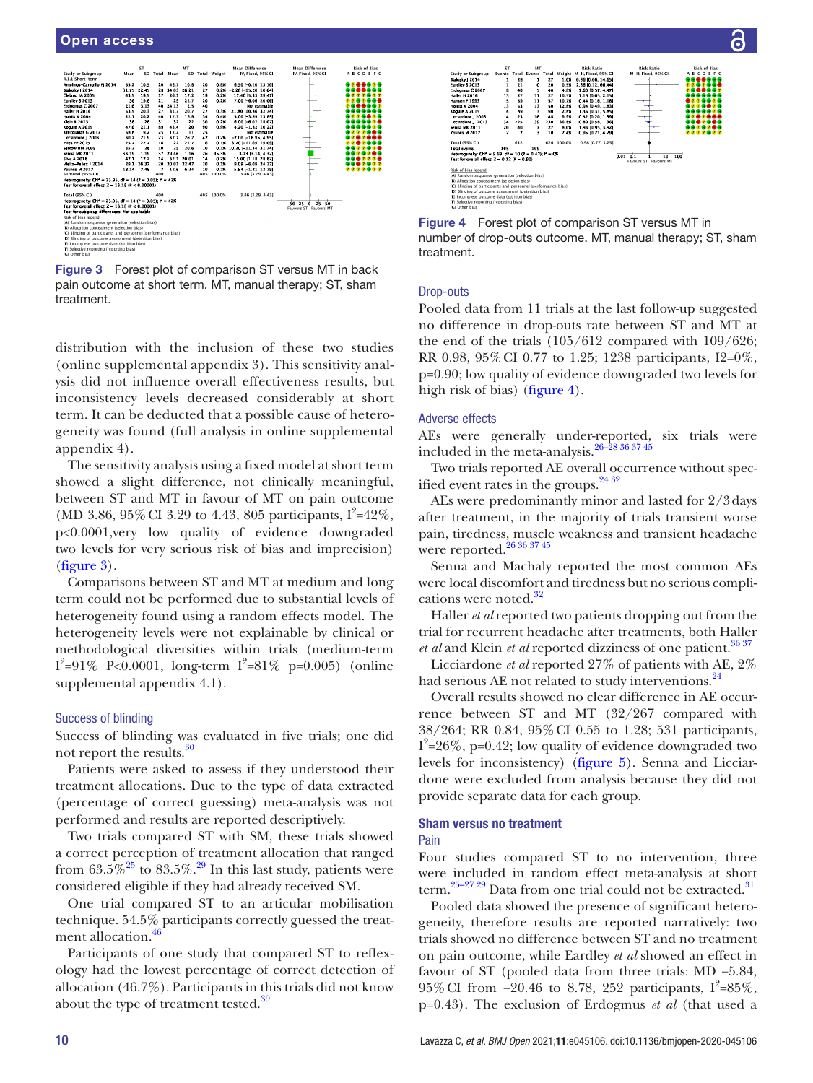

<span id="page-9-0"></span>Figure 3 Forest plot of comparison ST versus MT in back pain outcome at short term. MT, manual therapy; ST, sham treatment.

distribution with the inclusion of these two studies ([online supplemental appendix 3\)](https://dx.doi.org/10.1136/bmjopen-2020-045106). This sensitivity analysis did not influence overall effectiveness results, but inconsistency levels decreased considerably at short term. It can be deducted that a possible cause of heterogeneity was found (full analysis in [online supplemental](https://dx.doi.org/10.1136/bmjopen-2020-045106) [appendix 4](https://dx.doi.org/10.1136/bmjopen-2020-045106)).

The sensitivity analysis using a fixed model at short term showed a slight difference, not clinically meaningful, between ST and MT in favour of MT on pain outcome (MD 3.86, 95% CI 3.29 to 4.43, 805 participants,  $I^2=42\%$ , p<0.0001,very low quality of evidence downgraded two levels for very serious risk of bias and imprecision) ([figure](#page-9-0) 3).

Comparisons between ST and MT at medium and long term could not be performed due to substantial levels of heterogeneity found using a random effects model. The heterogeneity levels were not explainable by clinical or methodological diversities within trials (medium-term  $I^2=91\%$  P<0.0001, long-term  $I^2=81\%$  p=0.005) [\(online](https://dx.doi.org/10.1136/bmjopen-2020-045106) [supplemental appendix 4.1](https://dx.doi.org/10.1136/bmjopen-2020-045106)).

#### Success of blinding

Success of blinding was evaluated in five trials; one did not report the results.<sup>30</sup>

Patients were asked to assess if they understood their treatment allocations. Due to the type of data extracted (percentage of correct guessing) meta-analysis was not performed and results are reported descriptively.

Two trials compared ST with SM, these trials showed a correct perception of treatment allocation that ranged from  $63.5\%^{25}$  to  $83.5\%^{29}$  In this last study, patients were considered eligible if they had already received SM.

One trial compared ST to an articular mobilisation technique. 54.5% participants correctly guessed the treatment allocation.<sup>4</sup>

Participants of one study that compared ST to reflexology had the lowest percentage of correct detection of allocation (46.7%). Participants in this trials did not know about the type of treatment tested.<sup>39</sup>



<span id="page-9-1"></span>Figure 4 Forest plot of comparison ST versus MT in number of drop-outs outcome. MT, manual therapy; ST, sham treatment.

#### Drop-outs

Pooled data from 11 trials at the last follow-up suggested no difference in drop-outs rate between ST and MT at the end of the trials (105/612 compared with 109/626; RR 0.98, 95%CI 0.77 to 1.25; 1238 participants, I2=0%, p=0.90; low quality of evidence downgraded two levels for high risk of bias) [\(figure](#page-9-1) 4).

#### Adverse effects

AEs were generally under-reported, six trials were included in the meta-analysis[.26–28 36 37 45](#page-13-6)

Two trials reported AE overall occurrence without specified event rates in the groups. $2432$ 

AEs were predominantly minor and lasted for 2/3days after treatment, in the majority of trials transient worse pain, tiredness, muscle weakness and transient headache were reported.<sup>26</sup> 36 37 45

Senna and Machaly reported the most common AEs were local discomfort and tiredness but no serious complications were noted.<sup>32</sup>

Haller *et al* reported two patients dropping out from the trial for recurrent headache after treatments, both Haller *et al* and Klein *et al* reported dizziness of one patient.<sup>36 37</sup>

Licciardone *et al* reported 27% of patients with AE, 2% had serious AE not related to study interventions.<sup>[24](#page-13-1)</sup>

Overall results showed no clear difference in AE occurrence between ST and MT (32/267 compared with 38/264; RR 0.84, 95%CI 0.55 to 1.28; 531 participants,  $I^2$ =26%, p=0.42; low quality of evidence downgraded two levels for inconsistency) [\(figure](#page-10-0) 5). Senna and Licciardone were excluded from analysis because they did not provide separate data for each group.

#### Sham versus no treatment

#### Pain

Four studies compared ST to no intervention, three were included in random effect meta-analysis at short term.<sup>25-27 29</sup> Data from one trial could not be extracted.<sup>31</sup>

Pooled data showed the presence of significant heterogeneity, therefore results are reported narratively: two trials showed no difference between ST and no treatment on pain outcome, while Eardley *et al* showed an effect in favour of ST (pooled data from three trials: MD −5.84, 95% CI from  $-20.46$  to 8.78, 252 participants,  $I^2 = 85\%$ , p=0.43). The exclusion of Erdogmus *et al* (that used a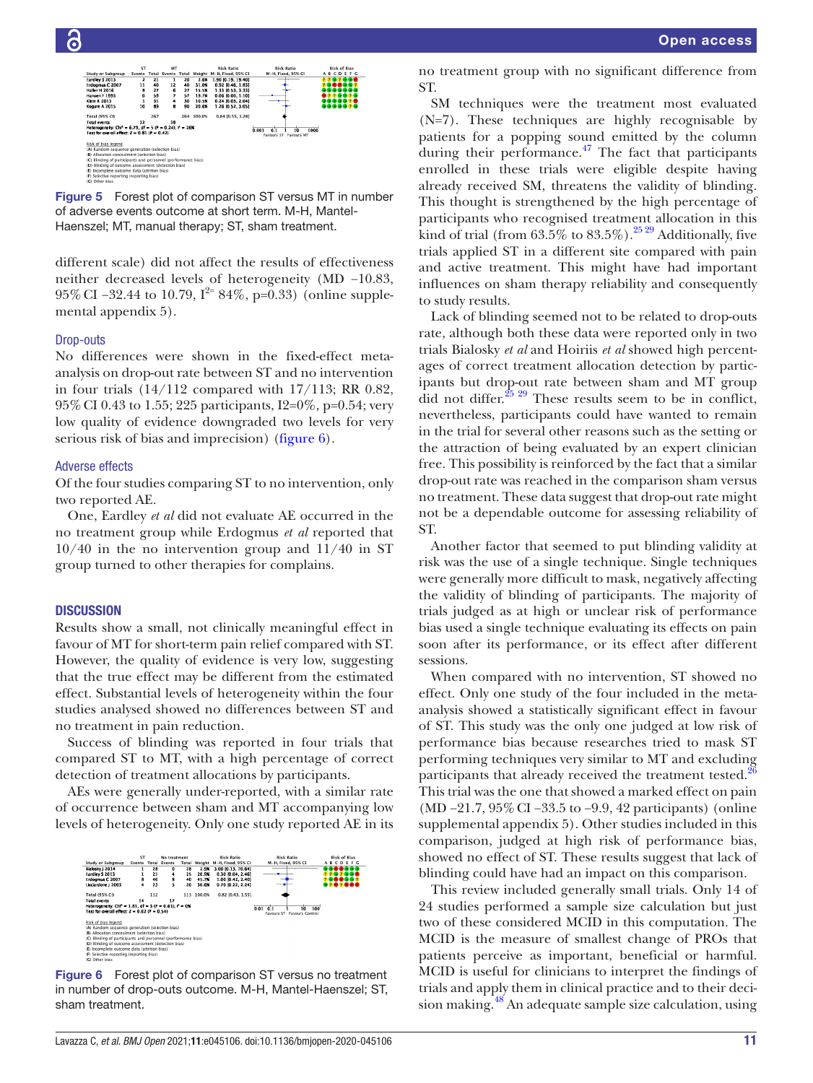<span id="page-10-0"></span>Figure 5 Forest plot of comparison ST versus MT in number of adverse events outcome at short term. M-H, Mantel-Haenszel; MT, manual therapy; ST, sham treatment.

different scale) did not affect the results of effectiveness neither decreased levels of heterogeneity (MD −10.83, 95% CI –32.44 to 10.79,  $I^{2=}$  84%, p=0.33) [\(online supple](https://dx.doi.org/10.1136/bmjopen-2020-045106)[mental appendix 5](https://dx.doi.org/10.1136/bmjopen-2020-045106)).

# Drop-outs

No differences were shown in the fixed-effect metaanalysis on drop-out rate between ST and no intervention in four trials (14/112 compared with 17/113; RR 0.82, 95%CI 0.43 to 1.55; 225 participants, I2=0%, p=0.54; very low quality of evidence downgraded two levels for very serious risk of bias and imprecision) ([figure](#page-10-1) 6).

#### Adverse effects

Of the four studies comparing ST to no intervention, only two reported AE.

One, Eardley *et al* did not evaluate AE occurred in the no treatment group while Erdogmus *et al* reported that 10/40 in the no intervention group and 11/40 in ST group turned to other therapies for complains.

# **DISCUSSION**

Results show a small, not clinically meaningful effect in favour of MT for short-term pain relief compared with ST. However, the quality of evidence is very low, suggesting that the true effect may be different from the estimated effect. Substantial levels of heterogeneity within the four studies analysed showed no differences between ST and no treatment in pain reduction.

Success of blinding was reported in four trials that compared ST to MT, with a high percentage of correct detection of treatment allocations by participants.

AEs were generally under-reported, with a similar rate of occurrence between sham and MT accompanying low levels of heterogeneity. Only one study reported AE in its



<span id="page-10-1"></span>Figure 6 Forest plot of comparison ST versus no treatment in number of drop-outs outcome. M-H, Mantel-Haenszel; ST, sham treatment.

no treatment group with no significant difference from ST.

SM techniques were the treatment most evaluated (N=7). These techniques are highly recognisable by patients for a popping sound emitted by the column during their performance.<sup>47</sup> The fact that participants enrolled in these trials were eligible despite having already received SM, threatens the validity of blinding. This thought is strengthened by the high percentage of participants who recognised treatment allocation in this kind of trial (from  $63.5\%$  to  $83.5\%$ ).<sup>25 29</sup> Additionally, five trials applied ST in a different site compared with pain and active treatment. This might have had important influences on sham therapy reliability and consequently to study results.

Lack of blinding seemed not to be related to drop-outs rate, although both these data were reported only in two trials Bialosky *et al* and Hoiriis *et al* showed high percentages of correct treatment allocation detection by participants but drop-out rate between sham and MT group did not differ. $25\frac{29}{29}$  These results seem to be in conflict, nevertheless, participants could have wanted to remain in the trial for several other reasons such as the setting or the attraction of being evaluated by an expert clinician free. This possibility is reinforced by the fact that a similar drop-out rate was reached in the comparison sham versus no treatment. These data suggest that drop-out rate might not be a dependable outcome for assessing reliability of ST.

Another factor that seemed to put blinding validity at risk was the use of a single technique. Single techniques were generally more difficult to mask, negatively affecting the validity of blinding of participants. The majority of trials judged as at high or unclear risk of performance bias used a single technique evaluating its effects on pain soon after its performance, or its effect after different sessions.

When compared with no intervention, ST showed no effect. Only one study of the four included in the metaanalysis showed a statistically significant effect in favour of ST. This study was the only one judged at low risk of performance bias because researches tried to mask ST performing techniques very similar to MT and excluding participants that already received the treatment tested.<sup>[26](#page-13-6)</sup> This trial was the one that showed a marked effect on pain (MD −21.7, 95%CI −33.5 to −9.9, 42 participants) ([online](https://dx.doi.org/10.1136/bmjopen-2020-045106)  [supplemental appendix 5](https://dx.doi.org/10.1136/bmjopen-2020-045106)). Other studies included in this comparison, judged at high risk of performance bias, showed no effect of ST. These results suggest that lack of blinding could have had an impact on this comparison.

This review included generally small trials. Only 14 of 24 studies performed a sample size calculation but just two of these considered MCID in this computation. The MCID is the measure of smallest change of PROs that patients perceive as important, beneficial or harmful. MCID is useful for clinicians to interpret the findings of trials and apply them in clinical practice and to their deci-sion making.<sup>[48](#page-13-25)</sup> An adequate sample size calculation, using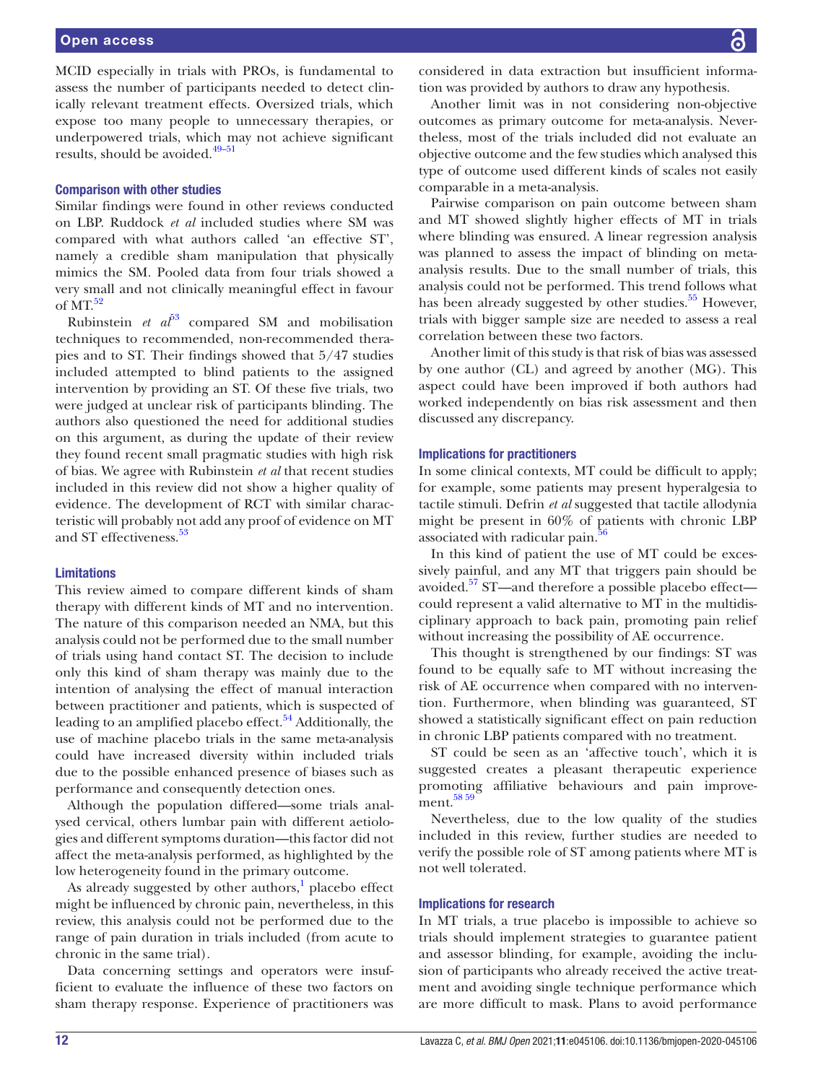MCID especially in trials with PROs, is fundamental to assess the number of participants needed to detect clinically relevant treatment effects. Oversized trials, which expose too many people to unnecessary therapies, or underpowered trials, which may not achieve significant results, should be avoided.<sup>[49–51](#page-13-26)</sup>

#### Comparison with other studies

Similar findings were found in other reviews conducted on LBP. Ruddock *et al* included studies where SM was compared with what authors called 'an effective ST', namely a credible sham manipulation that physically mimics the SM. Pooled data from four trials showed a very small and not clinically meaningful effect in favour of MT. $52$ 

Rubinstein  $et \hat{a}^5$  compared SM and mobilisation techniques to recommended, non-recommended therapies and to ST. Their findings showed that 5/47 studies included attempted to blind patients to the assigned intervention by providing an ST. Of these five trials, two were judged at unclear risk of participants blinding. The authors also questioned the need for additional studies on this argument, as during the update of their review they found recent small pragmatic studies with high risk of bias. We agree with Rubinstein *et al* that recent studies included in this review did not show a higher quality of evidence. The development of RCT with similar characteristic will probably not add any proof of evidence on MT and ST effectiveness.<sup>[53](#page-13-28)</sup>

#### Limitations

This review aimed to compare different kinds of sham therapy with different kinds of MT and no intervention. The nature of this comparison needed an NMA, but this analysis could not be performed due to the small number of trials using hand contact ST. The decision to include only this kind of sham therapy was mainly due to the intention of analysing the effect of manual interaction between practitioner and patients, which is suspected of leading to an amplified placebo effect.<sup>54</sup> Additionally, the use of machine placebo trials in the same meta-analysis could have increased diversity within included trials due to the possible enhanced presence of biases such as performance and consequently detection ones.

Although the population differed—some trials analysed cervical, others lumbar pain with different aetiologies and different symptoms duration—this factor did not affect the meta-analysis performed, as highlighted by the low heterogeneity found in the primary outcome.

As already suggested by other authors,<sup>[1](#page-12-0)</sup> placebo effect might be influenced by chronic pain, nevertheless, in this review, this analysis could not be performed due to the range of pain duration in trials included (from acute to chronic in the same trial).

Data concerning settings and operators were insufficient to evaluate the influence of these two factors on sham therapy response. Experience of practitioners was

considered in data extraction but insufficient information was provided by authors to draw any hypothesis.

Another limit was in not considering non-objective outcomes as primary outcome for meta-analysis. Nevertheless, most of the trials included did not evaluate an objective outcome and the few studies which analysed this type of outcome used different kinds of scales not easily comparable in a meta-analysis.

Pairwise comparison on pain outcome between sham and MT showed slightly higher effects of MT in trials where blinding was ensured. A linear regression analysis was planned to assess the impact of blinding on metaanalysis results. Due to the small number of trials, this analysis could not be performed. This trend follows what has been already suggested by other studies.<sup>55</sup> However, trials with bigger sample size are needed to assess a real correlation between these two factors.

Another limit of this study is that risk of bias was assessed by one author (CL) and agreed by another (MG). This aspect could have been improved if both authors had worked independently on bias risk assessment and then discussed any discrepancy.

#### Implications for practitioners

In some clinical contexts, MT could be difficult to apply; for example, some patients may present hyperalgesia to tactile stimuli. Defrin *et al* suggested that tactile allodynia might be present in 60% of patients with chronic LBP associated with radicular pain.<sup>56</sup>

In this kind of patient the use of MT could be excessively painful, and any MT that triggers pain should be avoided. $57$  ST—and therefore a possible placebo effect could represent a valid alternative to MT in the multidisciplinary approach to back pain, promoting pain relief without increasing the possibility of AE occurrence.

This thought is strengthened by our findings: ST was found to be equally safe to MT without increasing the risk of AE occurrence when compared with no intervention. Furthermore, when blinding was guaranteed, ST showed a statistically significant effect on pain reduction in chronic LBP patients compared with no treatment.

ST could be seen as an 'affective touch', which it is suggested creates a pleasant therapeutic experience promoting affiliative behaviours and pain improvement[.58 59](#page-13-33)

Nevertheless, due to the low quality of the studies included in this review, further studies are needed to verify the possible role of ST among patients where MT is not well tolerated.

#### Implications for research

In MT trials, a true placebo is impossible to achieve so trials should implement strategies to guarantee patient and assessor blinding, for example, avoiding the inclusion of participants who already received the active treatment and avoiding single technique performance which are more difficult to mask. Plans to avoid performance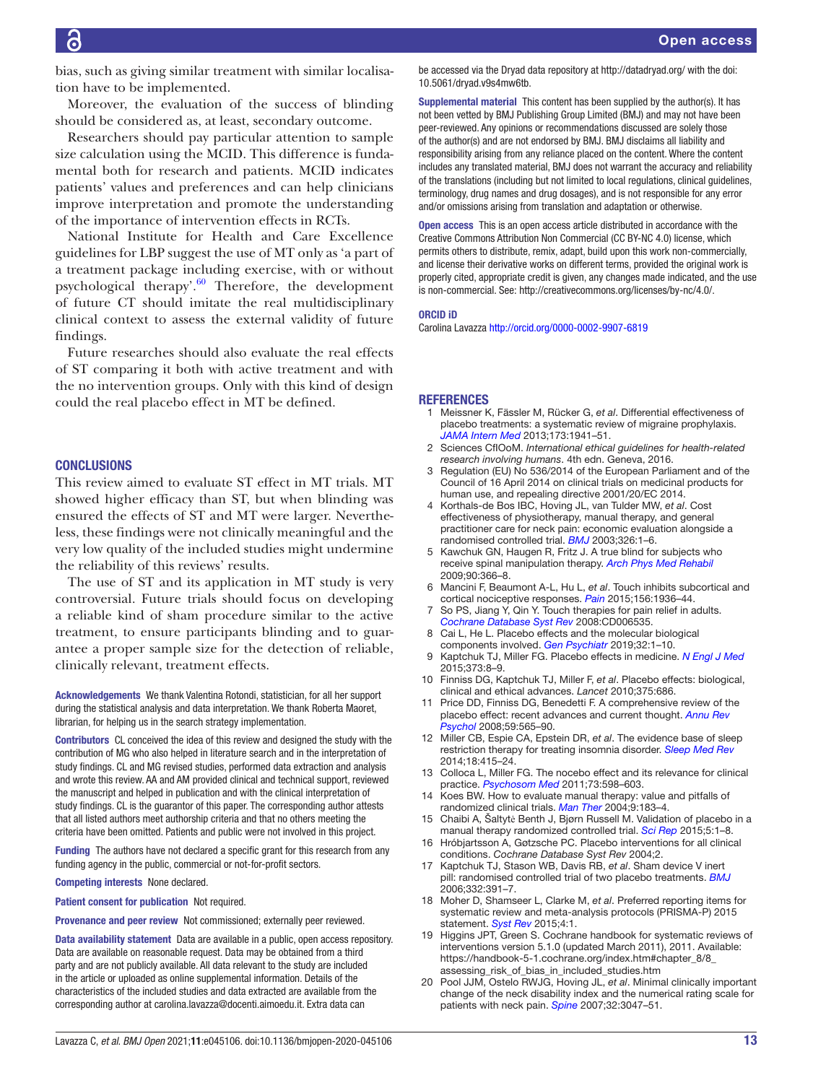bias, such as giving similar treatment with similar localisation have to be implemented.

Moreover, the evaluation of the success of blinding should be considered as, at least, secondary outcome.

Researchers should pay particular attention to sample size calculation using the MCID. This difference is fundamental both for research and patients. MCID indicates patients' values and preferences and can help clinicians improve interpretation and promote the understanding of the importance of intervention effects in RCTs.

National Institute for Health and Care Excellence guidelines for LBP suggest the use of MT only as 'a part of a treatment package including exercise, with or without psychological therapy'. $\frac{60}{60}$  Therefore, the development of future CT should imitate the real multidisciplinary clinical context to assess the external validity of future findings.

Future researches should also evaluate the real effects of ST comparing it both with active treatment and with the no intervention groups. Only with this kind of design could the real placebo effect in MT be defined.

#### **CONCLUSIONS**

This review aimed to evaluate ST effect in MT trials. MT showed higher efficacy than ST, but when blinding was ensured the effects of ST and MT were larger. Nevertheless, these findings were not clinically meaningful and the very low quality of the included studies might undermine the reliability of this reviews' results.

The use of ST and its application in MT study is very controversial. Future trials should focus on developing a reliable kind of sham procedure similar to the active treatment, to ensure participants blinding and to guarantee a proper sample size for the detection of reliable, clinically relevant, treatment effects.

Acknowledgements We thank Valentina Rotondi, statistician, for all her support during the statistical analysis and data interpretation. We thank Roberta Maoret, librarian, for helping us in the search strategy implementation.

Contributors CL conceived the idea of this review and designed the study with the contribution of MG who also helped in literature search and in the interpretation of study findings. CL and MG revised studies, performed data extraction and analysis and wrote this review. AA and AM provided clinical and technical support, reviewed the manuscript and helped in publication and with the clinical interpretation of study findings. CL is the guarantor of this paper. The corresponding author attests that all listed authors meet authorship criteria and that no others meeting the criteria have been omitted. Patients and public were not involved in this project.

Funding The authors have not declared a specific grant for this research from any funding agency in the public, commercial or not-for-profit sectors.

Competing interests None declared.

Patient consent for publication Not required.

Provenance and peer review Not commissioned; externally peer reviewed.

Data availability statement Data are available in a public, open access repository. Data are available on reasonable request. Data may be obtained from a third party and are not publicly available. All data relevant to the study are included in the article or uploaded as online supplemental information. Details of the characteristics of the included studies and data extracted are available from the corresponding author at carolina.lavazza@docenti.aimoedu.it. Extra data can

Supplemental material This content has been supplied by the author(s). It has not been vetted by BMJ Publishing Group Limited (BMJ) and may not have been peer-reviewed. Any opinions or recommendations discussed are solely those of the author(s) and are not endorsed by BMJ. BMJ disclaims all liability and responsibility arising from any reliance placed on the content. Where the content includes any translated material, BMJ does not warrant the accuracy and reliability of the translations (including but not limited to local regulations, clinical guidelines, terminology, drug names and drug dosages), and is not responsible for any error and/or omissions arising from translation and adaptation or otherwise.

Open access This is an open access article distributed in accordance with the Creative Commons Attribution Non Commercial (CC BY-NC 4.0) license, which permits others to distribute, remix, adapt, build upon this work non-commercially, and license their derivative works on different terms, provided the original work is properly cited, appropriate credit is given, any changes made indicated, and the use is non-commercial. See: [http://creativecommons.org/licenses/by-nc/4.0/.](http://creativecommons.org/licenses/by-nc/4.0/)

#### ORCID iD

Carolina Lavazza <http://orcid.org/0000-0002-9907-6819>

#### REFERENCES

- <span id="page-12-0"></span>1 Meissner K, Fässler M, Rücker G, *et al*. Differential effectiveness of placebo treatments: a systematic review of migraine prophylaxis. *[JAMA Intern Med](http://dx.doi.org/10.1001/jamainternmed.2013.10391)* 2013;173:1941–51.
- <span id="page-12-1"></span>2 Sciences CfIOoM. *International ethical guidelines for health-related research involving humans*. 4th edn. Geneva, 2016.
- <span id="page-12-2"></span>3 Regulation (EU) No 536/2014 of the European Parliament and of the Council of 16 April 2014 on clinical trials on medicinal products for human use, and repealing directive 2001/20/EC 2014.
- <span id="page-12-3"></span>4 Korthals-de Bos IBC, Hoving JL, van Tulder MW, *et al*. Cost effectiveness of physiotherapy, manual therapy, and general practitioner care for neck pain: economic evaluation alongside a randomised controlled trial. *[BMJ](http://dx.doi.org/10.1136/bmj.326.7395.911)* 2003;326:1–6.
- <span id="page-12-4"></span>5 Kawchuk GN, Haugen R, Fritz J. A true blind for subjects who receive spinal manipulation therapy. *[Arch Phys Med Rehabil](http://dx.doi.org/10.1016/j.apmr.2008.08.213)* 2009;90:366–8.
- <span id="page-12-5"></span>6 Mancini F, Beaumont A-L, Hu L, *et al*. Touch inhibits subcortical and cortical nociceptive responses. *[Pain](http://dx.doi.org/10.1097/j.pain.0000000000000253)* 2015;156:1936–44.
- <span id="page-12-6"></span>So PS, Jiang Y, Qin Y. Touch therapies for pain relief in adults. *[Cochrane Database Syst Rev](http://dx.doi.org/10.1002/14651858.CD006535.pub2)* 2008:CD006535.
- <span id="page-12-7"></span>8 Cai L, He L. Placebo effects and the molecular biological components involved. *[Gen Psychiatr](http://dx.doi.org/10.1136/gpsych-2019-100089)* 2019;32:1–10.
- <span id="page-12-8"></span>9 Kaptchuk TJ, Miller FG. Placebo effects in medicine. *[N Engl J Med](http://dx.doi.org/10.1056/NEJMp1504023)* 2015;373:8–9.
- <span id="page-12-9"></span>10 Finniss DG, Kaptchuk TJ, Miller F, *et al*. Placebo effects: biological, clinical and ethical advances. *Lancet* 2010;375:686.
- <span id="page-12-10"></span>11 Price DD, Finniss DG, Benedetti F. A comprehensive review of the placebo effect: recent advances and current thought. *[Annu Rev](http://dx.doi.org/10.1146/annurev.psych.59.113006.095941)  [Psychol](http://dx.doi.org/10.1146/annurev.psych.59.113006.095941)* 2008;59:565–90.
- 12 Miller CB, Espie CA, Epstein DR, *et al*. The evidence base of sleep restriction therapy for treating insomnia disorder. *[Sleep Med Rev](http://dx.doi.org/10.1016/j.smrv.2014.01.006)* 2014;18:415–24.
- 13 Colloca L, Miller FG. The nocebo effect and its relevance for clinical practice. *[Psychosom Med](http://dx.doi.org/10.1097/PSY.0b013e3182294a50)* 2011;73:598–603.
- <span id="page-12-11"></span>14 Koes BW. How to evaluate manual therapy: value and pitfalls of randomized clinical trials. *[Man Ther](http://dx.doi.org/10.1016/j.math.2004.04.002)* 2004;9:183–4.
- 15 Chaibi A, Šaltytė Benth J, Bjørn Russell M. Validation of placebo in a manual therapy randomized controlled trial. *[Sci Rep](http://dx.doi.org/10.1038/srep11774)* 2015;5:1–8.
- 16 Hróbjartsson A, Gøtzsche PC. Placebo interventions for all clinical conditions. *Cochrane Database Syst Rev* 2004;2.
- 17 Kaptchuk TJ, Stason WB, Davis RB, *et al*. Sham device V inert pill: randomised controlled trial of two placebo treatments. *[BMJ](http://dx.doi.org/10.1136/bmj.38726.603310.55)* 2006;332:391–7.
- <span id="page-12-12"></span>18 Moher D, Shamseer L, Clarke M, *et al*. Preferred reporting items for systematic review and meta-analysis protocols (PRISMA-P) 2015 statement. *[Syst Rev](http://dx.doi.org/10.1186/2046-4053-4-1)* 2015;4:1.
- <span id="page-12-13"></span>19 Higgins JPT, Green S. Cochrane handbook for systematic reviews of interventions version 5.1.0 (updated March 2011), 2011. Available: [https://handbook-5-1.cochrane.org/index.htm#chapter\\_8/8\\_](https://handbook-5-1.cochrane.org/index.htm#chapter_8/8_assessing_risk_of_bias_in_included_studies.htm) [assessing\\_risk\\_of\\_bias\\_in\\_included\\_studies.htm](https://handbook-5-1.cochrane.org/index.htm#chapter_8/8_assessing_risk_of_bias_in_included_studies.htm)
- <span id="page-12-14"></span>20 Pool JJM, Ostelo RWJG, Hoving JL, *et al*. Minimal clinically important change of the neck disability index and the numerical rating scale for patients with neck pain. *[Spine](http://dx.doi.org/10.1097/BRS.0b013e31815cf75b)* 2007;32:3047–51.